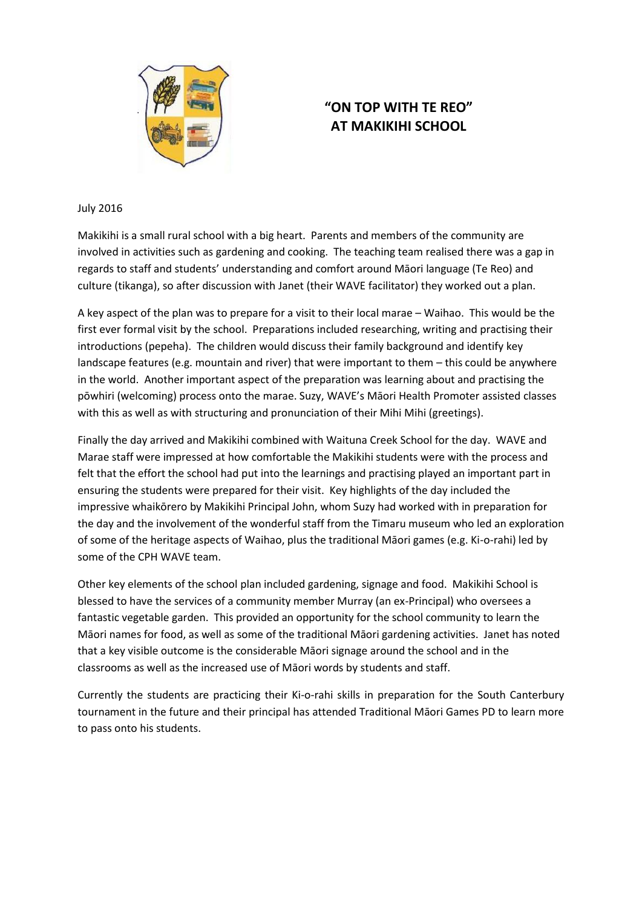

## **"ON TOP WITH TE REO" AT MAKIKIHI SCHOOL**

## July 2016

Makikihi is a small rural school with a big heart. Parents and members of the community are involved in activities such as gardening and cooking. The teaching team realised there was a gap in regards to staff and students' understanding and comfort around Māori language (Te Reo) and culture (tikanga), so after discussion with Janet (their WAVE facilitator) they worked out a plan.

A key aspect of the plan was to prepare for a visit to their local marae – Waihao. This would be the first ever formal visit by the school. Preparations included researching, writing and practising their introductions (pepeha). The children would discuss their family background and identify key landscape features (e.g. mountain and river) that were important to them – this could be anywhere in the world. Another important aspect of the preparation was learning about and practising the pōwhiri (welcoming) process onto the marae. Suzy, WAVE's Māori Health Promoter assisted classes with this as well as with structuring and pronunciation of their Mihi Mihi (greetings).

Finally the day arrived and Makikihi combined with Waituna Creek School for the day. WAVE and Marae staff were impressed at how comfortable the Makikihi students were with the process and felt that the effort the school had put into the learnings and practising played an important part in ensuring the students were prepared for their visit. Key highlights of the day included the impressive whaikōrero by Makikihi Principal John, whom Suzy had worked with in preparation for the day and the involvement of the wonderful staff from the Timaru museum who led an exploration of some of the heritage aspects of Waihao, plus the traditional Māori games (e.g. Ki-o-rahi) led by some of the CPH WAVE team.

Other key elements of the school plan included gardening, signage and food. Makikihi School is blessed to have the services of a community member Murray (an ex-Principal) who oversees a fantastic vegetable garden. This provided an opportunity for the school community to learn the Māori names for food, as well as some of the traditional Māori gardening activities. Janet has noted that a key visible outcome is the considerable Māori signage around the school and in the classrooms as well as the increased use of Māori words by students and staff.

Currently the students are practicing their Ki-o-rahi skills in preparation for the South Canterbury tournament in the future and their principal has attended Traditional Māori Games PD to learn more to pass onto his students.